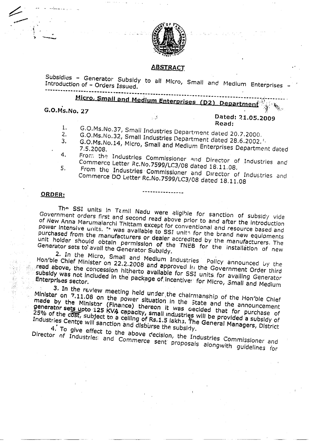

 $S_{\text{SUS}}$  - Generator  $S_{\text{SUS}}$  subsidies  $\sim$  Generator  $S_{\text{SUS}}$ upsiques - Generator Subsidy to all Micro, Small and Medium.<br>Itroduction.of. Outset -**Micro-Micro, Small and Medium Enterprises representative Street & Small And Medium Enterprises representative**<br>Partment with an and Medium Enterprise representative and Medium Enterprises representative and Medium Enterpr

**C.Ms. No. 27 C.Ms. No. 27** 

 $\angle$ 

 $\overline{\mathcal{L}}$ 

## Dated: 21.05.2009 1. G.O.Ms.No.37, Small Industries Department dated 20.7.17 Small Industries Department dated 20.7.2000, Small Industries Department dated 20.7.2000, Small Industries Department dated 20.7.2000, Small Industries Department

1. 2. G.O.Ms.No.37, Small Industries Department dated 20.7.2000.  $2.$ 

مخی پر

- G.O.Ms.No.32, Small Industries Department dated 28.6.2002.<sup>1.</sup>  $3.$
- U.MS.NO..<br>5.2009 4.5.2008. From the Industrial Commissioner and Director of Industrial Commissioner and Director of Industrial Commissioner and Director of Industrial Commissioner and Director of Industrial Commissioner and Director of Ind 4.
- From the Industries Commissioner and Director of Industries and Commerce Letter Rc.No.7599/LC3/08 dated 18.11.08. 5.
- From the Industries Commissioner and Director of Industries and<br>Commerce DO Letter Rc.No.7599/LC3/08 dated 18.11.08

### **ORDER;**

45,9

不可避开

 $T_{\rm eff}$  supplies In Temple Nadu were eligible for sanction of subsidiary video  $\sim$ The SSI Units in Tamil Nadu were aligible for sanction of subaldiction in Government orders first and second read above prior to and after the introduction port International Black was available to SSI units. The brand of New Anna Marumalarchi Thittam except for conventional and resource based and power intensive units. The was available to SSI units for the brand new equipments purchased from the manufacturers or dealer accredited by the manufacturers. The Final Holder Should obtain permission of the TNEB for the Installation of new

2. In the Micro, Small and Medium Industries Policy announced by the Hold Chief Micro, Small and Medium Industries Policy appointed in the Government Order that are einer minister on 22.2.2008 and approved in the Government Generator in above, the subsidy the concession hitherto available for SSI units for numeric Order third enterprises interpretations.<br>Prises sector Subsidy was not included in the package of incentiver for Micro, Small and Medium<br>Enterprises sector.<br>3. In the review meeting held under the chairmanship of the Hon'ble Chief

 $\frac{M}{\text{N}}$  and  $\frac{M}{\text{N}}$  on the power situation  $\frac{M}{\text{N}}$  on  $\frac{M}{\text{N}}$  or  $\frac{M}{\text{N}}$  or  $\frac{M}{\text{N}}$  or  $\frac{M}{\text{N}}$  or  $\frac{M}{\text{N}}$  $\frac{m}{2}$  by the Ministor (Fin power situation in the State and the number Chief s by the Ministor (Finance) thereon it was gecided that for number of the producement 25% of the COST, subject to a capacity, small industries will be a could be purchase of Industries Centre Will sanction and disburse the subsidy. The General Managers, District Industries Centre will sanction and disburse the subsidy.

4. To give effect to the above decision, the Industries Commissioner and Director of Industries and Commerce sent proposals alongwith guidelines for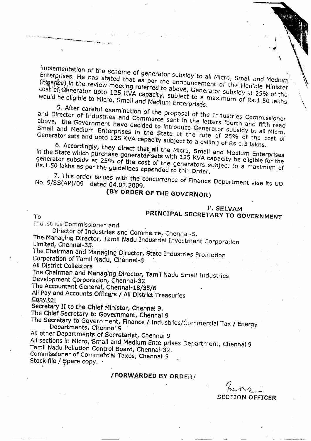wpiementation of the scheme of generator subsidy to all Micro, Small and Medium.<br>Interprises. He has stated that as per rhe announcement of Small and Medium. Enterprises. He has stated that as per the announcement of the Hon'ble Minister<br>(Finance) in the review meeting referred to above, Generator subsidy at 25% of the would be eligible to Micro, Small and Medium Enterprises.<br>
5. After careful examination of the proposal of the Industries Commissioner

nd Director of Industries and Commerce september of the Industries Commissioner bove, the Government have decided to interior letters fourth and fifth read Small and Medium Enterprises in the State at the rate of 25% of the cost of Generator sets and upto 125 KVA capacity subject to a ceiling of Rs.1.5 lakhs. General and Medium Enterprises in the State at the rate of 25% of the cost of

6. Accordingly, they direct that all the Micro, Small and Medium Enterprises the State which purchase generates is with 125 KV Small and Medium Enterprises enerator subsidy at 25% of the cost of the cost of the dapacity be eligible for the Rs.1.50 lakhs as per the yuldelines appended to this Order.

7. This order Issues with the concurrence of Finance Department vide its UO No. 9/SS(AP)/09 dated 04.02,2009,

# **(BY ORDER OF THE GOVERNOR)**

# **PRINCIPAL SECRETARY TO GOVERNMENT**

Industries Commlssione- and

To

Director of Industries and Commerce, Chennai-5. Physicor of Industries and Commerce, Chennai-5.<br>e Managing Director, Tamil Nadu Industrial I - Andreying Director,<br>Nited, Chennal-35. Limited, Chennal-35.<br>The Chairman and Managing Director, State Industries Promotion

Corporation of Tamil Nadu, Chennai-8

All District Collectors

The Chairman and Managing Director, Tamil Nadu Small Industries Development Corporation, Chennal-32

The Accountant General, Chennal-18/35/6 All Pay and Accounts. Officers / All District Treasuries

. ay ana<br>IV to: Copy to:<br>Secretary II to the Chief Minister, Chenna! 9,

The Chief Secretary to Government, Chennal 9 t Chief Secretary to Government, Chennal 9<br>ESecretary to Government, Finance / Industries / Commercial Tax / Energy Commercial

our y to Govern Henry Pin All other Departments of Secretariat, Chennai 9

All sections In Micro,'Small and Medium Entei prises Department, Chennai 9

Tamil Nadu Pollution Control Board, Chennal-32. Tamil Nadu Pollution Control Board, Chennal-32.<br>Commissioner of Commercial Taxes, Chennal-5

Stock file / Spare copy.  $\cdot$ 

## **/FORWARDED BY ORDER/**

**SECTION OFFICERSECTION OFFICER**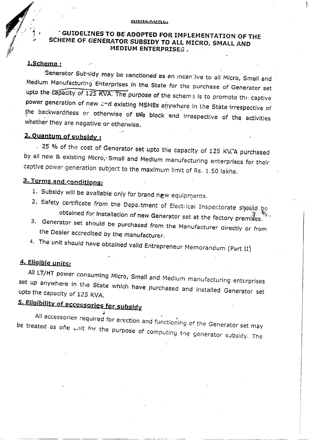# **THE SUIDELINES TO BE ADOPTED FOR IMPLEMENTATION OF THE**<br> **i** SCHEME OF GENERATOR SUBSIDY TO ALL MICRO, SMALL AND SCHEME OF GENERATOR SUBSIDY TO ALL MICRO, SMALL AND MEDIUM ENTERPRISES .

### **1 , Scheme ;**

Generator Subsidy may be sanctioned as an incentive to all Micro, Small and Medium Manufacturing' Enterprises In the State for the purchase of Generator set  $\frac{1}{2}$  -  $\frac{1}{2}$  -  $\frac{1}{2}$  -  $\frac{1}{2}$  -  $\frac{1}{2}$  -  $\frac{1}{2}$  and  $\frac{1}{2}$  and  $\frac{1}{2}$  and  $\frac{1}{2}$  and  $\frac{1}{2}$  and  $\frac{1}{2}$  and  $\frac{1}{2}$  and  $\frac{1}{2}$  and  $\frac{1}{2}$  and  $\frac{1}{2}$  and  $\frac{1}{2}$  and  $\frac{1}{2$ ower generation of new and existing MSMEs anywhere in the State Juneau , it are of the backwardness or otherwise of the block and in the state irrespective of ic buckwardness of otherwise of whether they are negative or otherwise.

## **2. Quantum of subsidy:**

 $.$  25 % of the cost of Generator set upto the capacity of 125 KVCA purchased by all new & existing Micro, Small and Medium manufacturing enterprises for their captive power generation subject to the maximum limit of Rs, 1,50 lakhs.

## **3. Terms and conditions;**

- 1. Subsidy will be available only for brand new equipments.
- Safety certificate from the Department of Elections.  $\cdot$  be  $\cdot$ obtained for installation of new Generator set at the factory premises.
- 3. Generator set should be purchased from the Manufacturer directly or from the Dealer accredited by the manufacturer.
- 4. The unit should have obtained valid Entrepreneur Memorandum (Part II)

## **4. Eliofbie units:**

All L.T/HT power consuming Micro, Small and Medium manufacturing enterprises up anywhere in the State which have purchased installed and ing enterprises o the capacity of 125 KVA. upto the capacity of 125 KVA.<br>5. Eligibility of accessories for subsidy

All accessories required for erection and functioning of the Generator set may be treated as one unit for the purpose of computing the generator subsidy. The